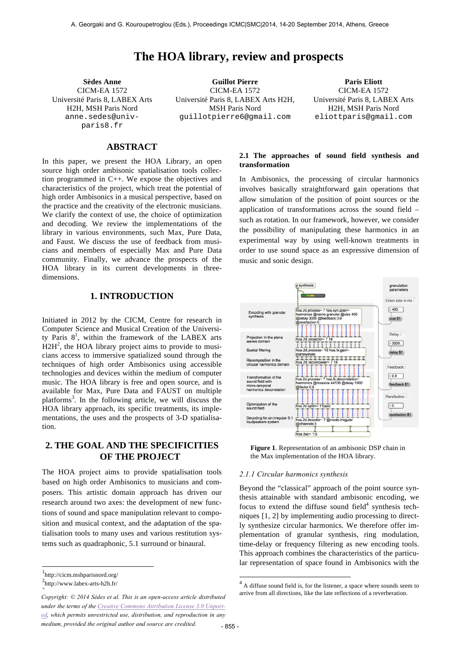# **The HOA library, review and prospects**

CICM-EA 1572 Université Paris 8, LABEX Arts H2H, MSH Paris Nord anne.sedes@univparis8.fr

**Sèdes Anne Guillot Pierre Paris Eliott** CICM-EA 1572 Université Paris 8, LABEX Arts H2H, MSH Paris Nord guillotpierre6@gmail.com

CICM-EA 1572 Université Paris 8, LABEX Arts H2H, MSH Paris Nord eliottparis@gmail.com

## **ABSTRACT**

In this paper, we present the HOA Library, an open source high order ambisonic spatialisation tools collection programmed in C++. We expose the objectives and characteristics of the project, which treat the potential of high order Ambisonics in a musical perspective, based on the practice and the creativity of the electronic musicians. We clarify the context of use, the choice of optimization and decoding. We review the implementations of the library in various environments, such Max, Pure Data, and Faust. We discuss the use of feedback from musicians and members of especially Max and Pure Data community. Finally, we advance the prospects of the HOA library in its current developments in threedimensions.

## **1. INTRODUCTION**

Initiated in 2012 by the CICM, Centre for research in Computer Science and Musical Creation of the University Paris  $8^1$ , within the framework of the LABEX arts  $\text{H2H}^2$ , the HOA library project aims to provide to musicians access to immersive spatialized sound through the techniques of high order Ambisonics using accessible technologies and devices within the medium of computer music. The HOA library is free and open source, and is available for Max, Pure Data and FAUST on multiple platforms<sup>3</sup>. In the following article, we will discuss the HOA library approach, its specific treatments, its implementations, the uses and the prospects of 3-D spatialisation.

## **2. THE GOAL AND THE SPECIFICITIES OF THE PROJECT**

The HOA project aims to provide spatialisation tools based on high order Ambisonics to musicians and composers. This artistic domain approach has driven our research around two axes: the development of new functions of sound and space manipulation relevant to composition and musical context, and the adaptation of the spatialisation tools to many uses and various restitution systems such as quadraphonic, 5.1 surround or binaural.

 $\overline{a}$ 

### **2.1 The approaches of sound field synthesis and transformation**

In Ambisonics, the processing of circular harmonics involves basically straightforward gain operations that allow simulation of the position of point sources or the application of transformations across the sound field – such as rotation. In our framework, however, we consider the possibility of manipulating these harmonics in an experimental way by using well-known treatments in order to use sound space as an expressive dimension of music and sonic design.





### *2.1.1 Circular harmonics synthesis*

Beyond the "classical" approach of the point source synthesis attainable with standard ambisonic encoding, we focus to extend the diffuse sound field $4$  synthesis techniques [1, 2] by implementing audio processing to directly synthesize circular harmonics. We therefore offer implementation of granular synthesis, ring modulation, time-delay or frequency filtering as new encoding tools. This approach combines the characteristics of the particular representation of space found in Ambisonics with the

-

 $\frac{1}{2}$ http://cicm.mshparisnord.org/

 ${}^{2}$ http://www.labex-arts-h2h.fr/  $\overline{\phantom{a}}$ 

Copyright: © 2014 Sèdes et al. This is an open-access article distributed **arrive from all directions**, like the late reflections of a reverberation. *under the terms of the Creative Commons Attribution License 3.0 Unported, which permits unrestricted use, distribution, and reproduction in any medium, provided the original author and source are credited.*

 $4<sup>4</sup>$  A diffuse sound field is, for the listener, a space where sounds seem to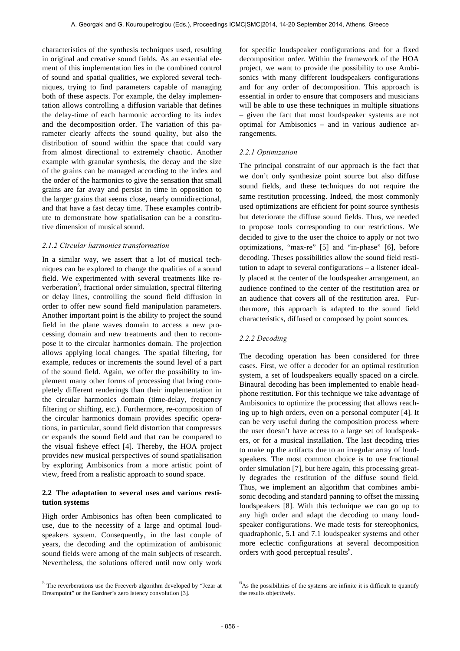characteristics of the synthesis techniques used, resulting in original and creative sound fields. As an essential element of this implementation lies in the combined control of sound and spatial qualities, we explored several techniques, trying to find parameters capable of managing both of these aspects. For example, the delay implementation allows controlling a diffusion variable that defines the delay-time of each harmonic according to its index and the decomposition order. The variation of this parameter clearly affects the sound quality, but also the distribution of sound within the space that could vary from almost directional to extremely chaotic. Another example with granular synthesis, the decay and the size of the grains can be managed according to the index and the order of the harmonics to give the sensation that small grains are far away and persist in time in opposition to the larger grains that seems close, nearly omnidirectional, and that have a fast decay time. These examples contribute to demonstrate how spatialisation can be a constitutive dimension of musical sound.

#### *2.1.2 Circular harmonics transformation*

In a similar way, we assert that a lot of musical techniques can be explored to change the qualities of a sound field. We experimented with several treatments like reverberation<sup>5</sup>, fractional order simulation, spectral filtering or delay lines, controlling the sound field diffusion in order to offer new sound field manipulation parameters. Another important point is the ability to project the sound field in the plane waves domain to access a new processing domain and new treatments and then to recompose it to the circular harmonics domain. The projection allows applying local changes. The spatial filtering, for example, reduces or increments the sound level of a part of the sound field. Again, we offer the possibility to implement many other forms of processing that bring completely different renderings than their implementation in the circular harmonics domain (time-delay, frequency filtering or shifting, etc.). Furthermore, re-composition of the circular harmonics domain provides specific operations, in particular, sound field distortion that compresses or expands the sound field and that can be compared to the visual fisheye effect [4]. Thereby, the HOA project provides new musical perspectives of sound spatialisation by exploring Ambisonics from a more artistic point of view, freed from a realistic approach to sound space.

## **2.2 The adaptation to several uses and various restitution systems**

High order Ambisonics has often been complicated to use, due to the necessity of a large and optimal loudspeakers system. Consequently, in the last couple of years, the decoding and the optimization of ambisonic sound fields were among of the main subjects of research. Nevertheless, the solutions offered until now only work

 $\overline{a}$ 

for specific loudspeaker configurations and for a fixed decomposition order. Within the framework of the HOA project, we want to provide the possibility to use Ambisonics with many different loudspeakers configurations and for any order of decomposition. This approach is essential in order to ensure that composers and musicians will be able to use these techniques in multiple situations – given the fact that most loudspeaker systems are not optimal for Ambisonics – and in various audience arrangements.

### *2.2.1 Optimization*

The principal constraint of our approach is the fact that we don't only synthesize point source but also diffuse sound fields, and these techniques do not require the same restitution processing. Indeed, the most commonly used optimizations are efficient for point source synthesis but deteriorate the diffuse sound fields. Thus, we needed to propose tools corresponding to our restrictions. We decided to give to the user the choice to apply or not two optimizations, "max-re" [5] and "in-phase" [6], before decoding. Theses possibilities allow the sound field restitution to adapt to several configurations – a listener ideally placed at the center of the loudspeaker arrangement, an audience confined to the center of the restitution area or an audience that covers all of the restitution area. Furthermore, this approach is adapted to the sound field characteristics, diffused or composed by point sources.

#### *2.2.2 Decoding*

The decoding operation has been considered for three cases. First, we offer a decoder for an optimal restitution system, a set of loudspeakers equally spaced on a circle. Binaural decoding has been implemented to enable headphone restitution. For this technique we take advantage of Ambisonics to optimize the processing that allows reaching up to high orders, even on a personal computer [4]. It can be very useful during the composition process where the user doesn't have access to a large set of loudspeakers, or for a musical installation. The last decoding tries to make up the artifacts due to an irregular array of loudspeakers. The most common choice is to use fractional order simulation [7], but here again, this processing greatly degrades the restitution of the diffuse sound field. Thus, we implement an algorithm that combines ambisonic decoding and standard panning to offset the missing loudspeakers [8]. With this technique we can go up to any high order and adapt the decoding to many loudspeaker configurations. We made tests for stereophonics, quadraphonic, 5.1 and 7.1 loudspeaker systems and other more eclectic configurations at several decomposition orders with good perceptual results<sup>6</sup>.

l

<sup>5</sup> The reverberations use the Freeverb algorithm developed by "Jezar at Dreampoint" or the Gardner's zero latency convolution [3].

 $6<sup>6</sup>$ As the possibilities of the systems are infinite it is difficult to quantify the results objectively.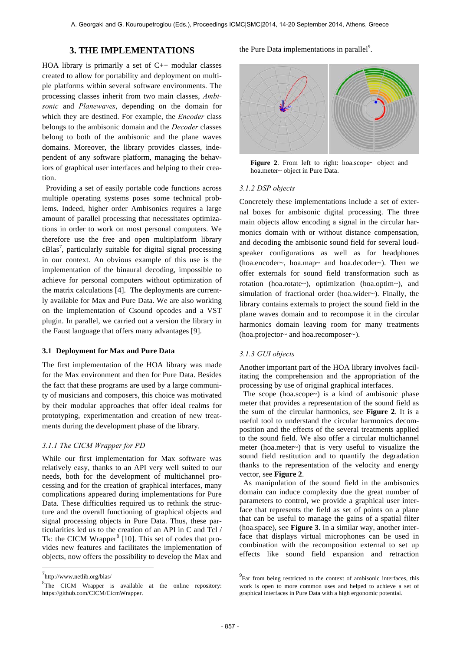## **3. THE IMPLEMENTATIONS**

HOA library is primarily a set of  $C_{++}$  modular classes created to allow for portability and deployment on multiple platforms within several software environments. The processing classes inherit from two main classes, *Ambisonic* and *Planewaves*, depending on the domain for which they are destined. For example, the *Encoder* class belongs to the ambisonic domain and the *Decoder* classes belong to both of the ambisonic and the plane waves domains. Moreover, the library provides classes, independent of any software platform, managing the behaviors of graphical user interfaces and helping to their creation.

 Providing a set of easily portable code functions across multiple operating systems poses some technical problems. Indeed, higher order Ambisonics requires a large amount of parallel processing that necessitates optimizations in order to work on most personal computers. We therefore use the free and open multiplatform library  $cB$ las<sup>7</sup>, particularly suitable for digital signal processing in our context. An obvious example of this use is the implementation of the binaural decoding, impossible to achieve for personal computers without optimization of the matrix calculations [4]. The deployments are currently available for Max and Pure Data. We are also working on the implementation of Csound opcodes and a VST plugin. In parallel, we carried out a version the library in the Faust language that offers many advantages [9].

#### **3.1 Deployment for Max and Pure Data**

The first implementation of the HOA library was made for the Max environment and then for Pure Data. Besides the fact that these programs are used by a large community of musicians and composers, this choice was motivated by their modular approaches that offer ideal realms for prototyping, experimentation and creation of new treatments during the development phase of the library.

## *3.1.1 The CICM Wrapper for PD*

While our first implementation for Max software was relatively easy, thanks to an API very well suited to our needs, both for the development of multichannel processing and for the creation of graphical interfaces, many complications appeared during implementations for Pure Data. These difficulties required us to rethink the structure and the overall functioning of graphical objects and signal processing objects in Pure Data. Thus, these particularities led us to the creation of an API in C and Tcl / Tk: the CICM Wrapper<sup>8</sup> [10]. This set of codes that provides new features and facilitates the implementation of objects, now offers the possibility to develop the Max and

 $\overline{a}$ 

the Pure Data implementations in parallel<sup>9</sup>.



Figure 2. From left to right: hoa.scope~ object and hoa.meter~ object in Pure Data.

#### *3.1.2 DSP objects*

Concretely these implementations include a set of external boxes for ambisonic digital processing. The three main objects allow encoding a signal in the circular harmonics domain with or without distance compensation, and decoding the ambisonic sound field for several loudspeaker configurations as well as for headphones (hoa.encoder~, hoa.map~ and hoa.decoder~). Then we offer externals for sound field transformation such as rotation (hoa.rotate~), optimization (hoa.optim~), and simulation of fractional order (hoa.wider~). Finally, the library contains externals to project the sound field in the plane waves domain and to recompose it in the circular harmonics domain leaving room for many treatments (hoa.projector~ and hoa.recomposer~).

#### *3.1.3 GUI objects*

Another important part of the HOA library involves facilitating the comprehension and the appropriation of the processing by use of original graphical interfaces.

 The scope (hoa.scope~) is a kind of ambisonic phase meter that provides a representation of the sound field as the sum of the circular harmonics, see **Figure 2**. It is a useful tool to understand the circular harmonics decomposition and the effects of the several treatments applied to the sound field. We also offer a circular multichannel meter (hoa.meter~) that is very useful to visualize the sound field restitution and to quantify the degradation thanks to the representation of the velocity and energy vector, see **Figure 2**.

 As manipulation of the sound field in the ambisonics domain can induce complexity due the great number of parameters to control, we provide a graphical user interface that represents the field as set of points on a plane that can be useful to manage the gains of a spatial filter (hoa.space), see **Figure 3**. In a similar way, another interface that displays virtual microphones can be used in combination with the recomposition external to set up effects like sound field expansion and retraction

l

<sup>7&</sup>lt;br>http://www.netlib.org/blas/

 ${}^{8}$ The CICM Wrapper is available at the online repository: https://github.com/CICM/CicmWrapper.

<sup>&</sup>lt;sup>9</sup>Far from being restricted to the context of ambisonic interfaces, this work is open to more common uses and helped to achieve a set of graphical interfaces in Pure Data with a high ergonomic potential.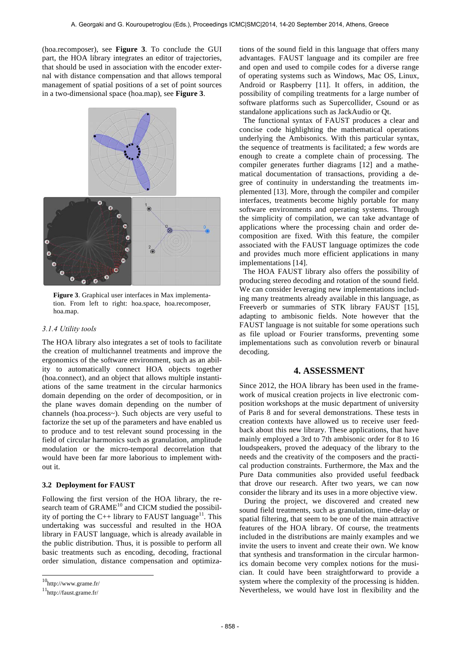(hoa.recomposer), see **Figure 3**. To conclude the GUI part, the HOA library integrates an editor of trajectories, that should be used in association with the encoder external with distance compensation and that allows temporal management of spatial positions of a set of point sources in a two-dimensional space (hoa.map), see **Figure 3**.



**Figure 3**. Graphical user interfaces in Max implementation. From left to right: hoa.space, hoa.recomposer, hoa.map.

#### *3.1.4 Utility tools*

The HOA library also integrates a set of tools to facilitate the creation of multichannel treatments and improve the ergonomics of the software environment, such as an ability to automatically connect HOA objects together (hoa.connect), and an object that allows multiple instantiations of the same treatment in the circular harmonics domain depending on the order of decomposition, or in the plane waves domain depending on the number of channels (hoa.process~). Such objects are very useful to factorize the set up of the parameters and have enabled us to produce and to test relevant sound processing in the field of circular harmonics such as granulation, amplitude modulation or the micro-temporal decorrelation that would have been far more laborious to implement without it.

#### **3.2 Deployment for FAUST**

Following the first version of the HOA library, the research team of  $GRAME<sup>10</sup>$  and CICM studied the possibility of porting the C++ library to FAUST language<sup>11</sup>. This undertaking was successful and resulted in the HOA library in FAUST language, which is already available in the public distribution. Thus, it is possible to perform all basic treatments such as encoding, decoding, fractional order simulation, distance compensation and optimiza-

 $\overline{a}$ 

tions of the sound field in this language that offers many advantages. FAUST language and its compiler are free and open and used to compile codes for a diverse range of operating systems such as Windows, Mac OS, Linux, Android or Raspberry [11]. It offers, in addition, the possibility of compiling treatments for a large number of software platforms such as Supercollider, Csound or as standalone applications such as JackAudio or Qt.

 The functional syntax of FAUST produces a clear and concise code highlighting the mathematical operations underlying the Ambisonics. With this particular syntax, the sequence of treatments is facilitated; a few words are enough to create a complete chain of processing. The compiler generates further diagrams [12] and a mathematical documentation of transactions, providing a degree of continuity in understanding the treatments implemented [13]. More, through the compiler and compiler interfaces, treatments become highly portable for many software environments and operating systems. Through the simplicity of compilation, we can take advantage of applications where the processing chain and order decomposition are fixed. With this feature, the compiler associated with the FAUST language optimizes the code and provides much more efficient applications in many implementations [14].

 The HOA FAUST library also offers the possibility of producing stereo decoding and rotation of the sound field. We can consider leveraging new implementations including many treatments already available in this language, as Freeverb or summaries of STK library FAUST [15], adapting to ambisonic fields. Note however that the FAUST language is not suitable for some operations such as file upload or Fourier transforms, preventing some implementations such as convolution reverb or binaural decoding.

## **4. ASSESSMENT**

Since 2012, the HOA library has been used in the framework of musical creation projects in live electronic composition workshops at the music department of university of Paris 8 and for several demonstrations. These tests in creation contexts have allowed us to receive user feedback about this new library. These applications, that have mainly employed a 3rd to 7th ambisonic order for 8 to 16 loudspeakers, proved the adequacy of the library to the needs and the creativity of the composers and the practical production constraints. Furthermore, the Max and the Pure Data communities also provided useful feedback that drove our research. After two years, we can now consider the library and its uses in a more objective view.

 During the project, we discovered and created new sound field treatments, such as granulation, time-delay or spatial filtering, that seem to be one of the main attractive features of the HOA library. Of course, the treatments included in the distributions are mainly examples and we invite the users to invent and create their own. We know that synthesis and transformation in the circular harmonics domain become very complex notions for the musician. It could have been straightforward to provide a system where the complexity of the processing is hidden. Nevertheless, we would have lost in flexibility and the

 $10$ <sub>http://www.grame.fr/</sub>

<sup>11</sup>http://faust.grame.fr/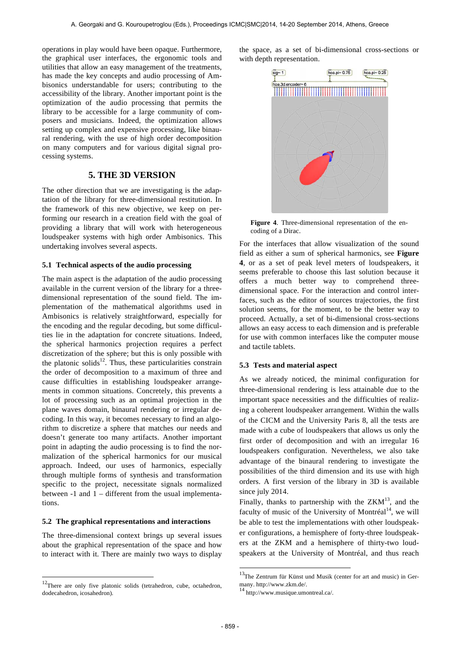operations in play would have been opaque. Furthermore, the graphical user interfaces, the ergonomic tools and utilities that allow an easy management of the treatments, has made the key concepts and audio processing of Ambisonics understandable for users; contributing to the accessibility of the library. Another important point is the optimization of the audio processing that permits the library to be accessible for a large community of composers and musicians. Indeed, the optimization allows setting up complex and expensive processing, like binaural rendering, with the use of high order decomposition on many computers and for various digital signal processing systems.

## **5. THE 3D VERSION**

The other direction that we are investigating is the adaptation of the library for three-dimensional restitution. In the framework of this new objective, we keep on performing our research in a creation field with the goal of providing a library that will work with heterogeneous loudspeaker systems with high order Ambisonics. This undertaking involves several aspects.

### **5.1 Technical aspects of the audio processing**

The main aspect is the adaptation of the audio processing available in the current version of the library for a threedimensional representation of the sound field. The implementation of the mathematical algorithms used in Ambisonics is relatively straightforward, especially for the encoding and the regular decoding, but some difficulties lie in the adaptation for concrete situations. Indeed, the spherical harmonics projection requires a perfect discretization of the sphere; but this is only possible with the platonic solids<sup>12</sup>. Thus, these particularities constrain the order of decomposition to a maximum of three and cause difficulties in establishing loudspeaker arrangements in common situations. Concretely, this prevents a lot of processing such as an optimal projection in the plane waves domain, binaural rendering or irregular decoding. In this way, it becomes necessary to find an algorithm to discretize a sphere that matches our needs and doesn't generate too many artifacts. Another important point in adapting the audio processing is to find the normalization of the spherical harmonics for our musical approach. Indeed, our uses of harmonics, especially through multiple forms of synthesis and transformation specific to the project, necessitate signals normalized between -1 and 1 – different from the usual implementations.

#### **5.2 The graphical representations and interactions**

The three-dimensional context brings up several issues about the graphical representation of the space and how to interact with it. There are mainly two ways to display

 $\overline{a}$ 

the space, as a set of bi-dimensional cross-sections or with depth representation.



**Figure 4**. Three-dimensional representation of the encoding of a Dirac.

For the interfaces that allow visualization of the sound field as either a sum of spherical harmonics, see **Figure 4**, or as a set of peak level meters of loudspeakers, it seems preferable to choose this last solution because it offers a much better way to comprehend threedimensional space. For the interaction and control interfaces, such as the editor of sources trajectories, the first solution seems, for the moment, to be the better way to proceed. Actually, a set of bi-dimensional cross-sections allows an easy access to each dimension and is preferable for use with common interfaces like the computer mouse and tactile tablets.

#### **5.3 Tests and material aspect**

As we already noticed, the minimal configuration for three-dimensional rendering is less attainable due to the important space necessities and the difficulties of realizing a coherent loudspeaker arrangement. Within the walls of the CICM and the University Paris 8, all the tests are made with a cube of loudspeakers that allows us only the first order of decomposition and with an irregular 16 loudspeakers configuration. Nevertheless, we also take advantage of the binaural rendering to investigate the possibilities of the third dimension and its use with high orders. A first version of the library in 3D is available since july 2014.

Finally, thanks to partnership with the  $ZKM^{13}$ , and the faculty of music of the University of Montréal<sup>14</sup>, we will be able to test the implementations with other loudspeaker configurations, a hemisphere of forty-three loudspeakers at the ZKM and a hemisphere of thirty-two loudspeakers at the University of Montréal, and thus reach

l

<sup>&</sup>lt;sup>12</sup>There are only five platonic solids (tetrahedron, cube, octahedron, dodecahedron, icosahedron).

<sup>&</sup>lt;sup>13</sup>The Zentrum für Künst und Musik (center for art and music) in Germany. http://www.zkm.de/.<br><sup>14</sup> http://www.musique.umontreal.ca/.